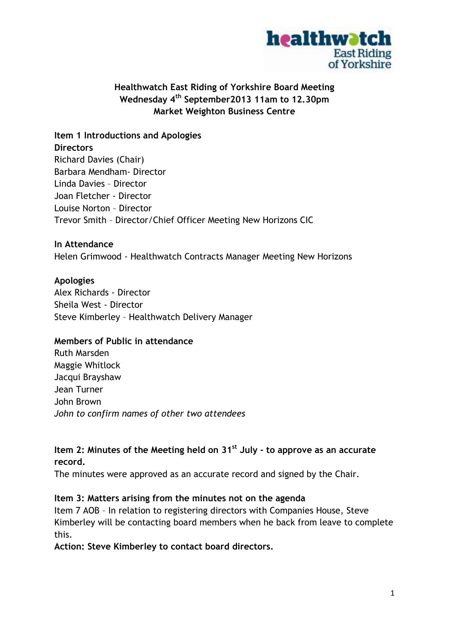

# **Healthwatch East Riding of Yorkshire Board Meeting Wednesday 4th September2013 11am to 12.30pm Market Weighton Business Centre**

**Item 1 Introductions and Apologies Directors** Richard Davies (Chair) Barbara Mendham- Director Linda Davies – Director Joan Fletcher - Director Louise Norton – Director Trevor Smith – Director/Chief Officer Meeting New Horizons CIC

### **In Attendance**

Helen Grimwood - Healthwatch Contracts Manager Meeting New Horizons

### **Apologies**

Alex Richards - Director Sheila West - Director Steve Kimberley – Healthwatch Delivery Manager

#### **Members of Public in attendance**

Ruth Marsden Maggie Whitlock Jacqui Brayshaw Jean Turner John Brown *John to confirm names of other two attendees*

# **Item 2: Minutes of the Meeting held on 31st July - to approve as an accurate record.**

The minutes were approved as an accurate record and signed by the Chair.

## **Item 3: Matters arising from the minutes not on the agenda**

Item 7 AOB – In relation to registering directors with Companies House, Steve Kimberley will be contacting board members when he back from leave to complete this.

**Action: Steve Kimberley to contact board directors.**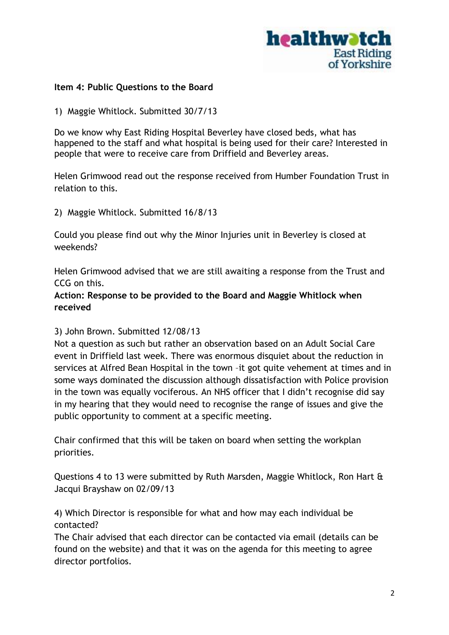

#### **Item 4: Public Questions to the Board**

1) Maggie Whitlock. Submitted 30/7/13

Do we know why East Riding Hospital Beverley have closed beds, what has happened to the staff and what hospital is being used for their care? Interested in people that were to receive care from Driffield and Beverley areas.

Helen Grimwood read out the response received from Humber Foundation Trust in relation to this.

2) Maggie Whitlock. Submitted 16/8/13

Could you please find out why the Minor Injuries unit in Beverley is closed at weekends?

Helen Grimwood advised that we are still awaiting a response from the Trust and CCG on this.

**Action: Response to be provided to the Board and Maggie Whitlock when received**

3) John Brown. Submitted 12/08/13

Not a question as such but rather an observation based on an Adult Social Care event in Driffield last week. There was enormous disquiet about the reduction in services at Alfred Bean Hospital in the town –it got quite vehement at times and in some ways dominated the discussion although dissatisfaction with Police provision in the town was equally vociferous. An NHS officer that I didn't recognise did say in my hearing that they would need to recognise the range of issues and give the public opportunity to comment at a specific meeting.

Chair confirmed that this will be taken on board when setting the workplan priorities.

Questions 4 to 13 were submitted by Ruth Marsden, Maggie Whitlock, Ron Hart & Jacqui Brayshaw on 02/09/13

4) Which Director is responsible for what and how may each individual be contacted?

The Chair advised that each director can be contacted via email (details can be found on the website) and that it was on the agenda for this meeting to agree director portfolios.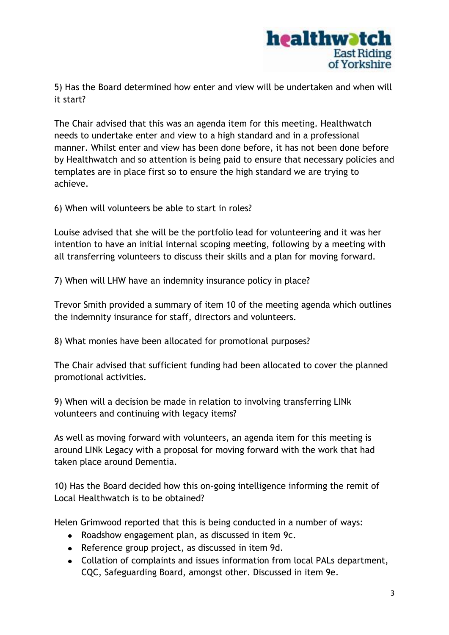

5) Has the Board determined how enter and view will be undertaken and when will it start?

The Chair advised that this was an agenda item for this meeting. Healthwatch needs to undertake enter and view to a high standard and in a professional manner. Whilst enter and view has been done before, it has not been done before by Healthwatch and so attention is being paid to ensure that necessary policies and templates are in place first so to ensure the high standard we are trying to achieve.

6) When will volunteers be able to start in roles?

Louise advised that she will be the portfolio lead for volunteering and it was her intention to have an initial internal scoping meeting, following by a meeting with all transferring volunteers to discuss their skills and a plan for moving forward.

7) When will LHW have an indemnity insurance policy in place?

Trevor Smith provided a summary of item 10 of the meeting agenda which outlines the indemnity insurance for staff, directors and volunteers.

8) What monies have been allocated for promotional purposes?

The Chair advised that sufficient funding had been allocated to cover the planned promotional activities.

9) When will a decision be made in relation to involving transferring LINk volunteers and continuing with legacy items?

As well as moving forward with volunteers, an agenda item for this meeting is around LINk Legacy with a proposal for moving forward with the work that had taken place around Dementia.

10) Has the Board decided how this on-going intelligence informing the remit of Local Healthwatch is to be obtained?

Helen Grimwood reported that this is being conducted in a number of ways:

- Roadshow engagement plan, as discussed in item 9c.
- Reference group project, as discussed in item 9d.
- Collation of complaints and issues information from local PALs department, CQC, Safeguarding Board, amongst other. Discussed in item 9e.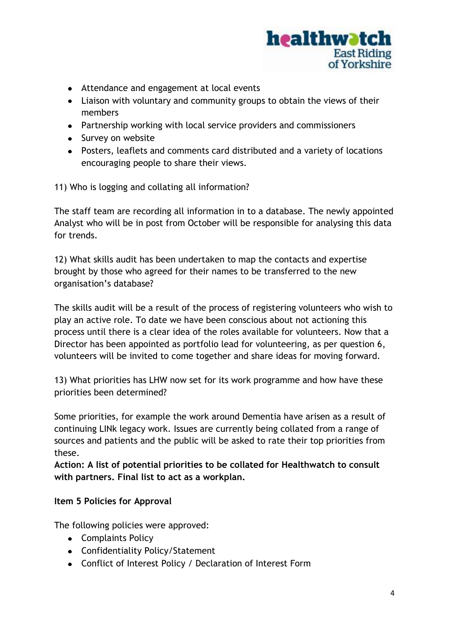

- Attendance and engagement at local events
- Liaison with voluntary and community groups to obtain the views of their members
- Partnership working with local service providers and commissioners
- Survey on website
- Posters, leaflets and comments card distributed and a variety of locations encouraging people to share their views.

11) Who is logging and collating all information?

The staff team are recording all information in to a database. The newly appointed Analyst who will be in post from October will be responsible for analysing this data for trends.

12) What skills audit has been undertaken to map the contacts and expertise brought by those who agreed for their names to be transferred to the new organisation's database?

The skills audit will be a result of the process of registering volunteers who wish to play an active role. To date we have been conscious about not actioning this process until there is a clear idea of the roles available for volunteers. Now that a Director has been appointed as portfolio lead for volunteering, as per question 6, volunteers will be invited to come together and share ideas for moving forward.

13) What priorities has LHW now set for its work programme and how have these priorities been determined?

Some priorities, for example the work around Dementia have arisen as a result of continuing LINk legacy work. Issues are currently being collated from a range of sources and patients and the public will be asked to rate their top priorities from these.

**Action: A list of potential priorities to be collated for Healthwatch to consult with partners. Final list to act as a workplan.**

## **Item 5 Policies for Approval**

The following policies were approved:

- Complaints Policy
- Confidentiality Policy/Statement
- Conflict of Interest Policy / Declaration of Interest Form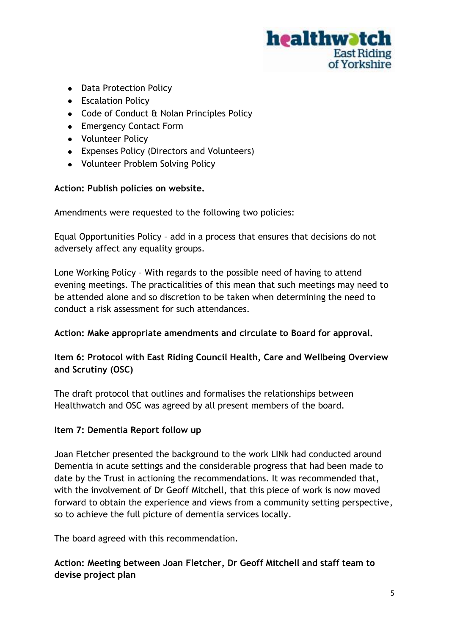

- Data Protection Policy
- Escalation Policy
- Code of Conduct & Nolan Principles Policy
- Emergency Contact Form
- Volunteer Policy
- Expenses Policy (Directors and Volunteers)
- Volunteer Problem Solving Policy

## **Action: Publish policies on website.**

Amendments were requested to the following two policies:

Equal Opportunities Policy – add in a process that ensures that decisions do not adversely affect any equality groups.

Lone Working Policy – With regards to the possible need of having to attend evening meetings. The practicalities of this mean that such meetings may need to be attended alone and so discretion to be taken when determining the need to conduct a risk assessment for such attendances.

## **Action: Make appropriate amendments and circulate to Board for approval.**

## **Item 6: Protocol with East Riding Council Health, Care and Wellbeing Overview and Scrutiny (OSC)**

The draft protocol that outlines and formalises the relationships between Healthwatch and OSC was agreed by all present members of the board.

## **Item 7: Dementia Report follow up**

Joan Fletcher presented the background to the work LINk had conducted around Dementia in acute settings and the considerable progress that had been made to date by the Trust in actioning the recommendations. It was recommended that, with the involvement of Dr Geoff Mitchell, that this piece of work is now moved forward to obtain the experience and views from a community setting perspective, so to achieve the full picture of dementia services locally.

The board agreed with this recommendation.

## **Action: Meeting between Joan Fletcher, Dr Geoff Mitchell and staff team to devise project plan**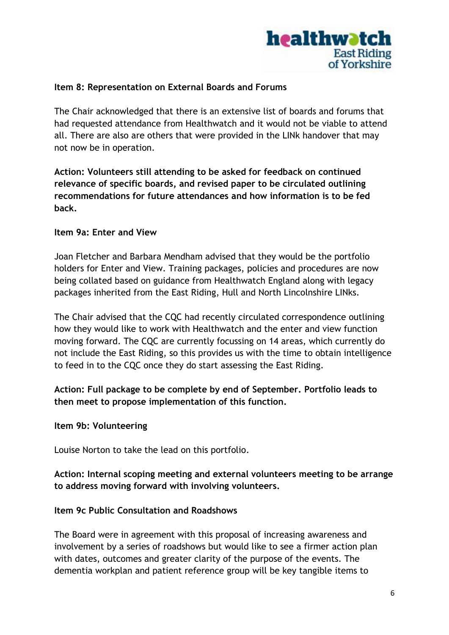

### **Item 8: Representation on External Boards and Forums**

The Chair acknowledged that there is an extensive list of boards and forums that had requested attendance from Healthwatch and it would not be viable to attend all. There are also are others that were provided in the LINk handover that may not now be in operation.

**Action: Volunteers still attending to be asked for feedback on continued relevance of specific boards, and revised paper to be circulated outlining recommendations for future attendances and how information is to be fed back.**

#### **Item 9a: Enter and View**

Joan Fletcher and Barbara Mendham advised that they would be the portfolio holders for Enter and View. Training packages, policies and procedures are now being collated based on guidance from Healthwatch England along with legacy packages inherited from the East Riding, Hull and North Lincolnshire LINks.

The Chair advised that the CQC had recently circulated correspondence outlining how they would like to work with Healthwatch and the enter and view function moving forward. The CQC are currently focussing on 14 areas, which currently do not include the East Riding, so this provides us with the time to obtain intelligence to feed in to the CQC once they do start assessing the East Riding.

**Action: Full package to be complete by end of September. Portfolio leads to then meet to propose implementation of this function.**

#### **Item 9b: Volunteering**

Louise Norton to take the lead on this portfolio.

### **Action: Internal scoping meeting and external volunteers meeting to be arrange to address moving forward with involving volunteers.**

#### **Item 9c Public Consultation and Roadshows**

The Board were in agreement with this proposal of increasing awareness and involvement by a series of roadshows but would like to see a firmer action plan with dates, outcomes and greater clarity of the purpose of the events. The dementia workplan and patient reference group will be key tangible items to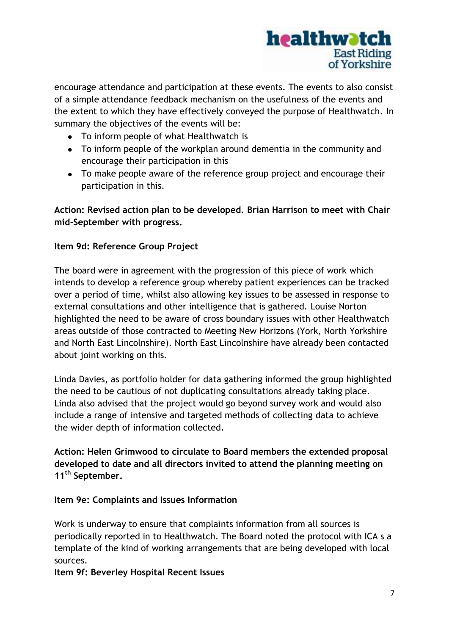

encourage attendance and participation at these events. The events to also consist of a simple attendance feedback mechanism on the usefulness of the events and the extent to which they have effectively conveyed the purpose of Healthwatch. In summary the objectives of the events will be:

- To inform people of what Healthwatch is
- To inform people of the workplan around dementia in the community and encourage their participation in this
- To make people aware of the reference group project and encourage their participation in this.

## **Action: Revised action plan to be developed. Brian Harrison to meet with Chair mid-September with progress.**

## **Item 9d: Reference Group Project**

The board were in agreement with the progression of this piece of work which intends to develop a reference group whereby patient experiences can be tracked over a period of time, whilst also allowing key issues to be assessed in response to external consultations and other intelligence that is gathered. Louise Norton highlighted the need to be aware of cross boundary issues with other Healthwatch areas outside of those contracted to Meeting New Horizons (York, North Yorkshire and North East Lincolnshire). North East Lincolnshire have already been contacted about joint working on this.

Linda Davies, as portfolio holder for data gathering informed the group highlighted the need to be cautious of not duplicating consultations already taking place. Linda also advised that the project would go beyond survey work and would also include a range of intensive and targeted methods of collecting data to achieve the wider depth of information collected.

**Action: Helen Grimwood to circulate to Board members the extended proposal developed to date and all directors invited to attend the planning meeting on 11th September.**

## **Item 9e: Complaints and Issues Information**

Work is underway to ensure that complaints information from all sources is periodically reported in to Healthwatch. The Board noted the protocol with ICA s a template of the kind of working arrangements that are being developed with local sources.

**Item 9f: Beverley Hospital Recent Issues**